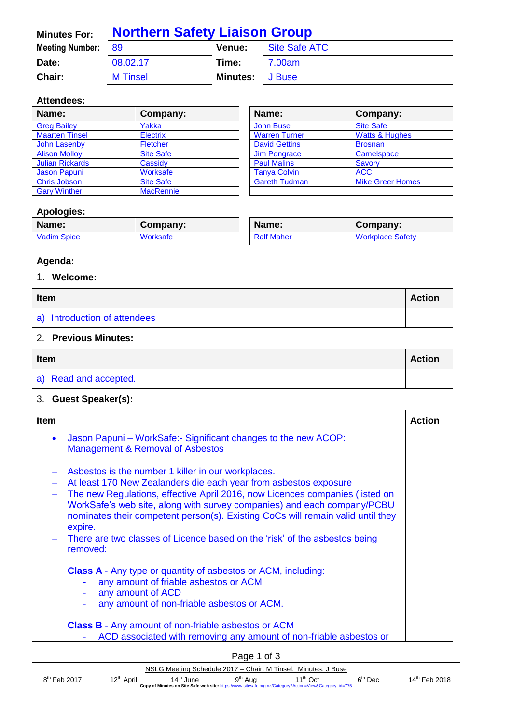| <b>Minutes For:</b>       | <b>Northern Safety Liaison Group</b> |                        |               |  |
|---------------------------|--------------------------------------|------------------------|---------------|--|
| <b>Meeting Number: 89</b> |                                      | <b>Venue:</b>          | Site Safe ATC |  |
| Date:                     | 08.02.17                             | Time:                  | 7.00am        |  |
| <b>Chair:</b>             | <b>M</b> Tinsel                      | <b>Minutes:</b> J Buse |               |  |

#### **Attendees:**

| Name:                  | Company:         | Name:                | Company:                  |
|------------------------|------------------|----------------------|---------------------------|
| <b>Greg Bailey</b>     | Yakka            | <b>John Buse</b>     | <b>Site Safe</b>          |
| <b>Maarten Tinsel</b>  | <b>Electrix</b>  | <b>Warren Turner</b> | <b>Watts &amp; Hughes</b> |
| John Lasenby           | Fletcher         | <b>David Gettins</b> | <b>Brosnan</b>            |
| <b>Alison Molloy</b>   | <b>Site Safe</b> | Jim Pongrace         | Camelspace                |
| <b>Julian Rickards</b> | Cassidy          | <b>Paul Malins</b>   | Savory                    |
| Jason Papuni           | Worksafe         | <b>Tanya Colvin</b>  | <b>ACC</b>                |
| <b>Chris Jobson</b>    | <b>Site Safe</b> | <b>Gareth Tudman</b> | <b>Mike Greer Homes</b>   |
| <b>Gary Winther</b>    | <b>MacRennie</b> |                      |                           |

## **Apologies:**

| Name:              | Company: | Name:             | Company:                |
|--------------------|----------|-------------------|-------------------------|
| <b>Vadim Spice</b> | Worksafe | <b>Ralf Maher</b> | <b>Workplace Safety</b> |

# **Agenda:**

## 1. **Welcome:**

| <b>Item</b>                  |  |
|------------------------------|--|
| a) Introduction of attendees |  |

# 2. **Previous Minutes:**

| Item                  |  |
|-----------------------|--|
| a) Read and accepted. |  |

### 3. **Guest Speaker(s):**

| <b>Item</b> |                                                                                                                                                                                                                                                       | Action |
|-------------|-------------------------------------------------------------------------------------------------------------------------------------------------------------------------------------------------------------------------------------------------------|--------|
| $\bullet$   | Jason Papuni – WorkSafe:- Significant changes to the new ACOP:<br>Management & Removal of Asbestos                                                                                                                                                    |        |
|             | Asbestos is the number 1 killer in our workplaces.                                                                                                                                                                                                    |        |
|             | At least 170 New Zealanders die each year from asbestos exposure                                                                                                                                                                                      |        |
|             | The new Regulations, effective April 2016, now Licences companies (listed on<br>WorkSafe's web site, along with survey companies) and each company/PCBU<br>nominates their competent person(s). Existing CoCs will remain valid until they<br>expire. |        |
|             | - There are two classes of Licence based on the 'risk' of the asbestos being<br>removed:                                                                                                                                                              |        |
|             | <b>Class A</b> - Any type or quantity of asbestos or ACM, including:<br>any amount of friable asbestos or ACM<br>any amount of ACD<br>any amount of non-friable asbestos or ACM.                                                                      |        |
|             | <b>Class B</b> - Any amount of non-friable asbestos or ACM<br>ACD associated with removing any amount of non-friable asbestos or                                                                                                                      |        |

|                          |                        |                       | Page 1 of 3         |                                                                                                                                 |           |                           |
|--------------------------|------------------------|-----------------------|---------------------|---------------------------------------------------------------------------------------------------------------------------------|-----------|---------------------------|
|                          |                        |                       |                     | NSLG Meeting Schedule 2017 – Chair: M Tinsel. Minutes: J Buse                                                                   |           |                           |
| 8 <sup>th</sup> Feb 2017 | 12 <sup>th</sup> April | 14 <sup>th</sup> June | 9 <sup>th</sup> Aug | 11 <sup>th</sup> Oct<br>Copy of Minutes on Site Safe web site: https://www.sitesafe.org.nz/Category?Action=View&Category id=775 | $6th$ Dec | 14 <sup>th</sup> Feb 2018 |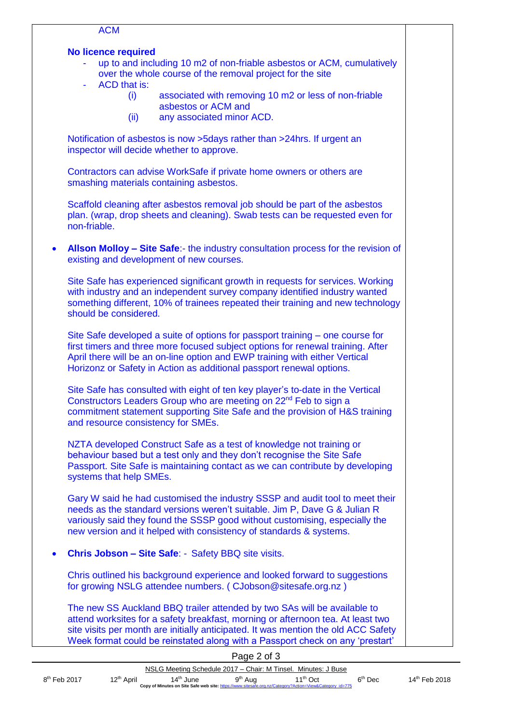#### **No licence required**

- up to and including 10 m2 of non-friable asbestos or ACM, cumulatively over the whole course of the removal project for the site
- ACD that is:
	- (i) associated with removing 10 m2 or less of non-friable asbestos or ACM and
	- (ii) any associated minor ACD.

Notification of asbestos is now >5days rather than >24hrs. If urgent an inspector will decide whether to approve.

Contractors can advise WorkSafe if private home owners or others are smashing materials containing asbestos.

Scaffold cleaning after asbestos removal job should be part of the asbestos plan. (wrap, drop sheets and cleaning). Swab tests can be requested even for non-friable.

• **Allson Molloy – Site Safe**:- the industry consultation process for the revision of existing and development of new courses.

Site Safe has experienced significant growth in requests for services. Working with industry and an independent survey company identified industry wanted something different, 10% of trainees repeated their training and new technology should be considered.

Site Safe developed a suite of options for passport training – one course for first timers and three more focused subject options for renewal training. After April there will be an on-line option and EWP training with either Vertical Horizonz or Safety in Action as additional passport renewal options.

Site Safe has consulted with eight of ten key player's to-date in the Vertical Constructors Leaders Group who are meeting on 22nd Feb to sign a commitment statement supporting Site Safe and the provision of H&S training and resource consistency for SMEs.

NZTA developed Construct Safe as a test of knowledge not training or behaviour based but a test only and they don't recognise the Site Safe Passport. Site Safe is maintaining contact as we can contribute by developing systems that help SMEs.

Gary W said he had customised the industry SSSP and audit tool to meet their needs as the standard versions weren't suitable. Jim P, Dave G & Julian R variously said they found the SSSP good without customising, especially the new version and it helped with consistency of standards & systems.

• **Chris Jobson – Site Safe**: - Safety BBQ site visits.

Chris outlined his background experience and looked forward to suggestions for growing NSLG attendee numbers. ( CJobson@sitesafe.org.nz )

The new SS Auckland BBQ trailer attended by two SAs will be available to attend worksites for a safety breakfast, morning or afternoon tea. At least two site visits per month are initially anticipated. It was mention the old ACC Safety Week format could be reinstated along with a Passport check on any 'prestart'

|                |                        |                       | Page 2 of 3         |                                                                                                                          |           |                           |
|----------------|------------------------|-----------------------|---------------------|--------------------------------------------------------------------------------------------------------------------------|-----------|---------------------------|
|                |                        |                       |                     | NSLG Meeting Schedule 2017 – Chair: M Tinsel. Minutes: J Buse                                                            |           |                           |
| $8th$ Feb 2017 | 12 <sup>th</sup> April | 14 <sup>th</sup> June | 9 <sup>th</sup> Aug | $11^{th}$ Oct<br>Copy of Minutes on Site Safe web site: https://www.sitesafe.org.nz/Category?Action=View&Category id=775 | $6th$ Dec | 14 <sup>th</sup> Feb 2018 |